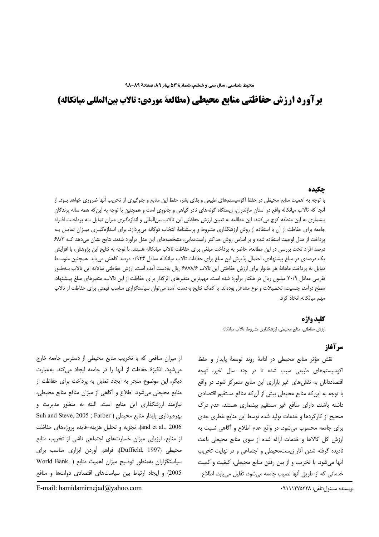# برآورد ارزش حفاظتي منابع محيطي (مطالعة موردي: تالاب بينالمللي ميانكاله)

#### حكىده

با توجه به اهمیت منابع محیطی در حفظ اکوسیستمهای طبیعی و بقای بشر، حفظ این منابع و جلوگیری از تخریب آنها ضروری خواهد بـود. از آنجا که تالاب میانکاله واقع در استان مازندران، زیستگاه گونههای نادر گیاهی و جانوری است و همچنین با توجه به این که همه ساله پرندگان بیشماری به این منطقه کوچ می کنند، این مطالعه به تعیین ارزش حفاظتی این تالاب بین|لمللی و اندازهگیری میزان تمایل بـه پرداخـت افـراد جامعه برای حفاظت از آن با استفاده از روش ارزشگذاری مشروط و پرسشنامهٔ انتخاب دوگانه میپردازد. برای انـدازهگیـری میـزان تمایـل بـه پرداخت از مدل لوجیت استفاده شده و بر اساس روش حداکثر راستنمایی، مشخصههای این مدل برآورد شدند. نتایج نشان میدهد کـه ۶۸/۳ درصد افراد تحت بررسی در این مطالعه، حاضر به پرداخت مبلغی برای حفاظت تالاب میانکاله هستند. با توجه به نتایج این پژوهش، با افزایش یک درصدی در مبلغ پیشنهادی، احتمال پذیرش این مبلغ برای حفاظت تالاب میانکاله معادل ۰/۹۲۴ درصد کاهش می پابد. همچنین متوسط تمايل به پرداخت ماهانهٔ هر خانوار براي ارزش حفاظتي اين تالاب ۶۸۷۸/۶ ريال بهدست آمده است. ارزش حفاظتي سالانه اين تالاب بـهطـور تقریبی معادل ۲۰/۹ میلیون ریال در هکتار برآورد شده است. مهمترین متغیرهای اثرگذار برای حفاظت از این تالاب، متغیرهای مبلغ پیشنهاد، سطح درآمد، جنسیت، تحصیلات و نوع مشاغل بودهاند. با کمک نتایج بهدست آمده می¤وان سیاستگزاری مناسب قیمتی برای حفاظت از تالاب مهم میانکاله اتخاذ کرد.

### كليد واژه

ارزش حفاظتي، منابع محيطي، ارزشگذاري مشروط، تالاب ميانكاله

### سه آغاز

نقش مؤثر منابع محيطي در ادامهٔ روند توسعهٔ پايدار و حفظ اکوسیستمهای طبیعی سبب شده تا در چند سال اخیر، توجه اقتصاددانان به نقشهای غیر بازاری این منابع متمرکز شود. در واقع با توجه به این که منابع محیطی بیش از آن که منافع مستقیم اقتصادی داشته باشند، دارای منافع غیر مستقیم بیشماری هستند، عدم درک صحیح از کارکردها و خدمات تولید شده توسط این منابع خطری جدی برای جامعه محسوب میشود. در واقع عدم اطلاع و آگاهی نسبت به ارزش كل كالاها و خدمات ارائه شده از سوى منابع محيطى باعث نادیده گرفته شدن آثار زیستمحیطی و اجتماعی و در نهایت تخریب آنها می شود. با تخریب و از بین رفتن منابع محیطی، کیفیت و کمیت خدماتی که از طریق آنها نصیب جامعه می شود، تقلیل می یابد. اطلاع

از میزان منافعی که با تخریب منابع محیطی از دسترس جامعه خارج می شود، انگیزهٔ حفاظت از آنها را در جامعه ایجاد می کند. به عبارت دیگر، این موضوع منجر به ایجاد تمایل به پرداخت برای حفاظت از منابع محیطی میشود. اطلاع و آگاهی از میزان منافع منابع محیطی، نیازمند ارزشگذاری این منابع است. البته به منظور مدیریت و بهرهبردارى پايدار منابع محيطى ( Suh and Steve, 2005 ; Farber and et al., 2006)، تجزيه و تحليل هزينه-فايده پروژههاى حفاظت از منابع، ارزیابی میزان خسارتهای اجتماعی ناشی از تخریب منابع محیطی (Duffield, 1997)، فراهم آوردن ابزاری مناسب برای سیاستگزاران بهمنظور توضیح میزان اهمیت منابع ( World Bank, 2005) وايجاد ارتباط بين سياستهاى اقتصادى دولتها ومنافع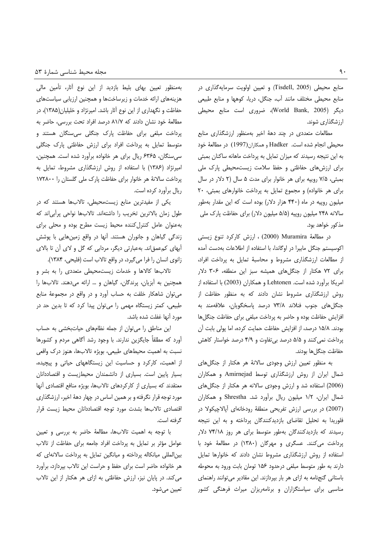منابع محیطی (Tisdell, 2005) و تعیین اولویت سرمایهگذاری در منابع محیطی مختلف مانند أب، جنگل، دریا، کوهها و منابع طبیعی دیگر (World Bank, 2005)، ضروری است منابع محیطی ارزشگذاری شوند.

مطالعات متعددی در چند دههٔ اخیر بهمنظور ارزشگذاری منابع محيطي انجام شده است. Hadker و همكاران(1997) در مطالعهٔ خود به این نتیجه رسیدند که میزان تمایل به پرداخت ماهانه ساکنان بمبئی برای ارزشهای حفاظتی و حفظ سلامت زیستمحیطی پارک ملی بمبئی، ۷/۵ رویپه برای هر خانوار برای مدت ۵ سال (۲ دلار در سال برای هر خانواده) و مجموع تمایل به پرداخت خانوارهای بمبئی، ٢٠ میلیون روپیه در ماه (۴۴۰ هزار دلار) بوده است که این مقدار بهطور سالانه ۲۴۸ میلیون روپیه (۵/۵ میلیون دلار) برای حفاظت پارک ملی مذكور خواهد بود.

در مطالعهٔ Muramira (2000) ، ارزش کارکرد تنوع زیستی اکوسیستم جنگل مابیرا در اوگاندا، با استفاده از اطلاعات بهدست آمده از مطالعات ارزشگذاری مشروط و محاسبهٔ تمایل به پرداخت افراد، برای ٧٢ هكتار از جنگلهای همیشه سبز این منطقه، ٣٠۶ دلار امریکا برأورد شده است. Lehtonen و همکاران (2003) با استفاده از روش ارزشگذاری مشروط نشان دادند که به منظور حفاظت از جنگلهای جنوب فنلاند ۷۳/۸ درصد پاسخگویان، علاقهمند به افزایش حفاظت بوده و حاضر به پرداخت مبلغی برای حفاظت جنگلها بودند. ۱۵/۸ درصد، از افزایش حفاظت حمایت کرده، اما پولی بابت آن پرداخت نمی کنند و ۵/۵ درصد بی تفاوت و ۴/۹ درصد خواستار کاهش حفاظت جنگلها بودند.

به منظور تعیین ارزش وجودی سالانهٔ هر هکتار از جنگلهای شمال ایران از روش ارزشگذاری توسط Amirnejad و همکاران (2006) استفاده شد و ارزش وجودی سالانه هر هکتار از جنگلهای شمال ایران، ۱/۲ میلیون ریال برآورد شد. Shrestha و همکاران (2007) در بررسی ارزش تفریحی منطقهٔ رودخانهای آپالاچیکولا در فلوریدا به تحلیل تقاضای بازدیدکنندگان پرداخته و به این نتیجه رسیدند که بازدیدکنندگان بهطور متوسط برای هر روز ۷۴/۱۸ دلار پرداخت می کنند. عسگری و مهرگان (۱۳۸۰) در مطالعهٔ خود با استفاده از روش ارزشگذاری مشروط نشان دادند که خانوارها تمایل دارند به طور متوسط مبلغی درحدود ۱۵۶ تومان بابت ورود به محوطه باستانی گنجنامه به ازای هر بار بپردازند. این مقادیر می توانند راهنمای مناسبی برای سیاستگزاران و برنامهریزان میراث فرهنگی کشور

بهمنظور تعیین بهای بلیط بازدید از این نوع آثار، تأمین مالی هزینههای ارائه خدمات و زیرساختها و همچنین ارزیابی سیاستهای حفاظت و نگهداری از این نوع آثار باشد. امیرنژاد و خلیلیان(۱۳۸۵)، در مطالعهٔ خود نشان دادند که ۸۱/۷ درصد افراد تحت بررسی، حاضر به پرداخت مبلغی برای حفاظت پارک جنگلی سی سنگان هستند و متوسط تمایل به پرداخت افراد برای ارزش حفاظتی پارک جنگلی سی سنگان، ۶۳۶۵ ریال برای هر خانواده برآورد شده است. همچنین، امیرنژاد (۱۳۸۶) با استفاده از روش ارزشگذاری مشروط، تمایل به پرداخت سالانهٔ هر خانوار برای حفاظت پارک ملی گلستان را ۱۷۲۸۰۰ ريال برآورد كرده است.

یکی از مفیدترین منابع زیستمحیطی، تالابها هستند که در طول زمان بالاترین تخریب را داشتهاند. تالابها نواحی پرأبی|ند که بهعنوان عامل كنترل كننده محيط زيست مطرح بوده و محلى براى زندگی گیاهان و جانوران هستند. آنها در واقع زمینهایی با پوشش أبهای کمءمقاند. بهعبارتی دیگر، مردابی که گل و لای آن تا بالای زانوی انسان را فرا میگیرد، در واقع تالاب است (فلیحی، ۱۳۸۴).

تالابها كالاها و خدمات زيستمحيطى متعددى را به بشر و همچنین به آبزیان، پرندگان، گیاهان و … ارائه میدهند. تالابها را می توان شاهکار خلقت به حساب أورد و در واقع در مجموعهٔ منابع طبیعی، کمتر زیستگاه مهمی را میتوان پیدا کرد که تا بدین حد در مورد أنها غفلت شده باشد.

این مناطق را می توان از جمله نظامهای حیات بخشی به حساب اًورد که مطلقاً جایگزین ندارند. با وجود رشد اَگاهی مردم و کشورها نسبت به اهمیت محیطهای طبیعی، بویژه تالابها، هنوز درک واقعی از اهمیت، کارکرد و حساسیت این زیستگاههای حیاتی و پیچیده، بسیار پایین است. بسیاری از دانشمندان محیطزیست و اقتصاددانان معتقدند که بسیاری از کارکردهای تالابها، بویژه منافع اقتصادی أنها مورد توجه قرار نگرفته و بر همین اساس در چهار دههٔ اخیر، ارزشگذاری اقتصادى تالابها بشدت مورد توجه اقتصاددانان محيط زيست قرار گرفته است.

با توجه به اهمیت تالابها، مطالعهٔ حاضر به بررسی و تعیین عوامل مؤثر بر تمايل به پرداخت افراد جامعه براى حفاظت از تالاب بین المللی میانکاله پرداخته و میانگین تمایل به پرداخت سالانهای که هر خانواده حاضر است براي حفظ و حراست اين تالاب بپردازد، برآورد می کند. در پایان نیز، ارزش حفاظتی به ازای هر هکتار از این تالاب تعيين مي شود.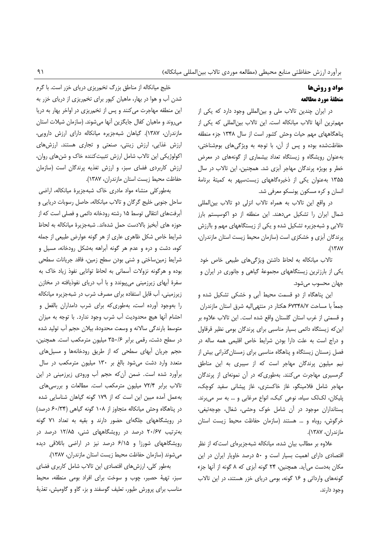# مواد و روشها منطقة مورد مطالعه

در ایران چندین تالاب ملی و بین المللی وجود دارد که یکی از مهمترین آنها تالاب میانکاله است. این تالاب بینالمللی که یکی از پناهگاههای مهم حیات وحش کشور است از سال ۱۳۴۸ جزء منطقه حفاظتشده بوده و پس از آن، با توجه به ویژگیهای بومشناختی، به عنوان رویشگاه و زیستگاه تعداد بیشماری از گونههای در معرض خطر و بویژه پرندگان مهاجر آبزی شد. همچنین، این تالاب در سال ۱۳۵۵ به عنوان یکی از ذخیرهگاههای زیست سپهر به کمیتهٔ برنامهٔ انسان و کره مسکون یونسکو معرفی شد.

در واقع این تالاب به همراه تالاب انزلی دو تالاب بینالمللی شمال ایران را تشکیل می دهند. این منطقه از دو اکوسیستم بارز تالابی و شبهجزیره تشکیل شده و یکی از زیستگاههای مهم و باارزش یرندگان آبزی و خشکزی است (سازمان محیط زیست استان مازندران،  $\Lambda$ 

تالاب میانکاله به لحاظ داشتن ویژگیهای طبیعی خاص خود یکی از بارزترین زیستگاههای مجموعهٔ گیاهی و جانوری در ایران و جهان محسوب مي شود.

این پناهگاه از دو قسمت محیط آبی و خشکی تشکیل شده و جمعاً با مساحت ۶۷۳۴۸/۷ هکتار در منتهی|لیه شرق استان مازندران و قسمتی از غرب استان گلستان واقع شده است. این تالاب علاوه بر این که زیستگاه دائمی بسیار مناسبی برای پرندگان بومی نظیر قرقاول و دراج است به علت دارا بودن شرایط خاص اقلیمی همه ساله در فصل زمستان زیستگاه و پناهگاه مناسبی برای زمستان گذرانی بیش از نیم میلیون پرندگان مهاجر است که از سیبری به این مناطق گرمسیری مهاجرت میکنند. بهطوری که در آن نمونهای از پرندگان مهاجر شامل فلامینگو، غاز خاکستری، غاز پیشانی سفید کوچک، پلیکان، لکلک سیاه، نوعی کبک، انواع مرغابی و … به سر می برند. یستانداران موجود در آن شامل خوک وحشی، شغال، جوجهتیغی، خرگوش، روباه و … هستند (سازمان حفاظت محیط زیست استان مازندران، ۱۳۸۷).

علاوه بر مطالب بیان شده، میانکاله شبهجزیرهای است که از نظر اقتصادی دارای اهمیت بسیار است و ۵۰ درصد خاویار ایران در این مکان بهدست می آید. همچنین، ۲۴ گونه آبزی که ۸ گونه از آنها جزء گونههای وارداتی و ۱۶ گونه، بومی دریای خزر هستند، در این تالاب وجود دارند.

خلیج میانکاله از مناطق بزرگ تخمریزی دریای خزر است. با گرم شدن آب و هوا در بهار، ماهیان کپور برای تخم,ریزی از دریای خزر به این منطقه مهاجرت می کنند و پس از تخمریزی در اواخر بهار به دریا میروند و ماهیان کفال جایگزین آنها میشوند. (سازمان شیلات استان مازندران، ۱۳۸۷). گیاهان شبهجزیره میانکاله دارای ارزش دارویی، ارزش غذایی، ارزش زینتی، صنعتی و تجاری هستند. ارزشهای اکولوژیکی این تالاب شامل ارزش تثبیت کننده خاک و شنهای روان، ارزش کاربردی فضای سبز، و ارزش تغذیه پرندگان است (سازمان حفاظت محيط زيست استان مازندران، ١٣٨٧).

بهطوركلي منشاء مواد مادري خاك شبهجزيرة ميانكاله، اراضي ساحل جنوبی خلیج گرگان و تالاب میانکاله، حاصل رسوبات دریایی و أبرفتهای انتقالی توسط ۱۵ رشته رودخانه دائمی و فصلی است که از حوزه های أبخیز بالادست حمل شدهاند. شبهجزیرهٔ میانکاله به لحاظ شرایط خاص شکل ظاهری عاری از هر گونه عوارض طبیعی از جمله کوه، دشت و دره و عدم هر گونه آبراهه بهشکل رودخانه، مسیل و شرایط زمینساختی و شنی بودن سطح زمین، فاقد جریانات سطحی بوده و هرگونه نزولات آسمانی به لحاظ توانایی نفوذ زیاد خاک به سفرهٔ أبهای زیرزمینی میپیوندد و با أب دریای نفوذیافته در مخازن زیرزمینی، آب قابل استفاده برای مصرف شرب در شبهجزیره میانکاله را بهوجود آورده است، بهطوریکه برای شرب دامداران بالفعل و احشام آنها هيچ محدوديت آب شرب وجود ندارد. با توجه به ميزان متوسط بارندگی سالانه و وسعت محدودهٔ، بیلان حجم أب تولید شده در سطح دشت، رقمی برابر ۳۵۰/۶ میلیون مترمکعب است. همچنین، حجم جریان أبهای سطحی که از طریق رودخانهها و مسیلهای متعدد وارد دشت میشود بالغ بر ۱۳۰ میلیون مترمکعب در سال برآورد شده است. ضمن آن که حجم آب ورودی زیرزمینی در این تالاب برابر ۷۲/۴ میلیون مترمکعب است. مطالعات و بررسیهای بهعمل آمده مبین این است که از ۱۷۹ گونه گیاهان شناسایی شده در پناهگاه وحش میانکاله متجاوز از ۱۰۸ گونه گیاهی (۶۰/۳۴ درصد) در رویشگاههای جلگهای حضور دارند و بقیه به تعداد ۷۱ گونه بهترتیب ۲۰/۶۷ درصد در رویشگاههای شنی، ۱۲/۸۵ درصد در رویشگاههای شورزا و ۶/۱۵ درصد نیز در اراضی باتلاقی دیده می شوند (سازمان حفاظت محیط زیست استان مازندران، ۱۳۸۷).

بهطور كلي، ارزش هاي اقتصادي اين تالاب شامل كاربرى فضاي سبز، تهیهٔ حصیر، چوب و سوخت برای افراد بومی منطقه، محیط مناسب برای پرورش طیور، تعلیف گوسفند و بز، گاو و گاومیش، تغذیهٔ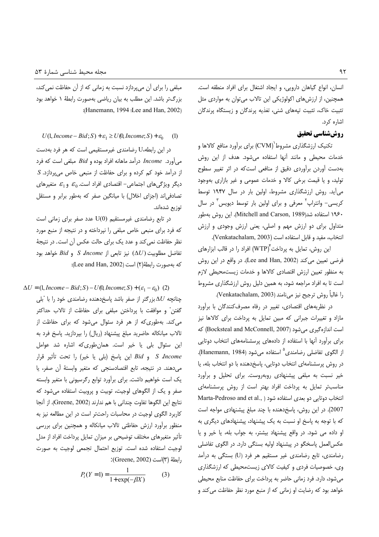انسان، انواع گیاهان دارویی، و ایجاد اشتغال برای افراد منطقه است. همچنین، از ارزش های اکولوژیکی این تالاب میتوان به مواردی مثل تثبیت خاک، تثبیت تپههای شنی، تغذیه پرندگان و زیستگاه پرندگان اشاره کرد.

### روش شناسي تحقيق

تکنیک ارزشگذاری مشروط`(CVM) برای برآورد منافع کالاها و خدمات محیطی و مانند آنها استفاده میشود. هدف از این روش بهدست آوردن برآوردى دقيق از منافعى است كه در اثر تغيير سطوح تولید، و یا قیمت برخی کالا و خدمات عمومی و غیر بازاری بهوجود می آید. روش ارزشگذاری مشروط، اولین بار در سال ۱۹۴۷ توسط کریسی– وانتراپ` معرفی و برای اولین بار توسط دیویس` در سال ١٩۶٠ استفاده شد(Mitchell and Carson, 1989). اين روش بهطور متداول برای دو ارزش مهم و اصلی، یعنی ارزش وجودی و ارزش انتخاب، مفيد و قابل استفاده است (Venkatachalam, 2003).

این روش، تمایل به پرداخت ّٔ(WTP) افراد را در قالب ابزارهای فرضی تعیین می کند (Lee and Han, 2002). در واقع در این روش به منظور تعيين ارزش اقتصادى كالاها و خدمات زيستمحيطى لازم است تا به افراد مراجعه شود، به همین دلیل روش ارزشگذاری مشروط را غالباً روش ترجيح نيز ميiامند (Venkatachalam, 2003).

در نظریههای اقتصادی، تغییر در رفاه مصرف کنندگان با برآورد مازاد و تغییرات جبرانی که مبین تمایل به پرداخت برای کالاها نیز است اندازهگیری میشود (Bocksteal and McConnell, 2007) که برای برآورد آنها با استفاده از دادههای پرسشنامههای انتخاب دوتایی از الگوی تفاضلی رضامندی<sup>۵</sup> استفاده میشود (Hanemann, 1984). در روش پرسشنامهای انتخاب دوتایی، پاسخدهنده با دو انتخاب بله، یا خير نسبت به مبلغى پيشنهادى روبهروست. براى تحليل وبراورد مناسبتر تمایل به پرداخت افراد بهتر است از روش پرسشنامهای Marta-Pedroso and et al., ) انتخاب دوتايى دو بعدى استفاده شود 2007). در این روش، پاسخ دهنده با چند مبلغ پیشنهادی مواجه است که با توجه به پاسخ او نسبت به یک پیشنهاد، پیشنهادهای دیگری به او داده می شود. در واقع پیشنهاد بیشتر، به جواب بله، یا خیر و یا عکس العمل پاسخگو در پیشنهاد اولیه بستگی دارد. در الگوی تفاضلی رضامندی، تابع رضامندی غیر مستقیم هر فرد (U) بستگی به درآمد وی، خصوصیات فردی و کیفیت کالای زیستمحیطی که ارزشگذاری می شود، دارد. فرد زمانی حاضر به پرداخت برای حفاظت منابع محیطی خواهد بود که رضایت او زمانی که از منبع مورد نظر حفاظت می کند و

مبلغی را برای آن میپردازد نسبت به زمانی که از آن حفاظت نمی کند، بزرگتر باشد. این مطلب به بیان ریاضی بهصورت رابطهٔ ۱ خواهد بود :(Hanemann, 1994 :Lee and Han, 2002)

 $U(1, Income - Bid; S) + \varepsilon_1 \ge U(0, Income; S) + \varepsilon_0$  $(1)$ 

در این رابطه،U رضامندی غیرمستقیمی است که هر فرد بهدست می آورد. Income درآمد ماهانه افراد بوده و Bid مبلغی است که فرد  $S$  از درآمد خود کم کرده و برای حفاظت از منبعی خاص می پردازد. دیگر ویژگیهای اجتماعی- اقتصادی افراد است.  $\varepsilon_0$  و ع متغیرهای تصادفی اند (اجزای اخلال) با میانگین صفر که بهطور برابر و مستقل توزیع شدهاند.

در تابع رضامندی غیرمستقیم (U(0 عدد صفر برای زمانی است که فرد برای منبعی خاص مبلغی را نیرداخته و در نتیجه از منبع مورد نظر حفاظت نمی کند و عدد یک برای حالت عکس آن است. در نتیجهٔ تفاضل مطلوبيت (AU) نيز تابعى از S dncome و Bid خواهد بود كه بهصورت رابطة (٢) است (Lee and Han, 2002):

 $\Delta U = (1, Income - Bid; S) - U(0, Income; S) + (\varepsilon_1 - \varepsilon_0)$  (2) چنانچه  $\Delta U$ بزرگتر از صفر باشد پاسخ<هنده رضامندی خود را با "بلی گفتن" و موافقت با پرداختن مبلغی برای حفاظت از تالاب حداکثر می کند. بهطوری که از هر فرد سئوال می شود که برای حفاظت از تالاب میانکاله حاضرید مبلغ پیشنهاد (ریال) را بپردازید. پاسخ فرد به این سئوال بلی یا خیر است. همانطوری که اشاره شد عوامل S Jncome و Bid این پاسخ (بلی یا خیر) را تحت تأثیر قرار می دهند. در نتیجه، تابع اقتصادسنجی که متغیر وابستهٔ آن صفر، یا یک است خواهیم داشت. برای برآورد توابع رگرسیونی با متغیر وابسته صفر و یک از الگوهای لوجیت، توبیت و پروبیت استفاده می شود که نتايج اين الگوها تفاوت چنداني با هم ندارند (Greene, 2002). از آنجا كاربرد الگوى لوجيت در محاسبات راحتتر است در اين مطالعه نيز به منظور برآورد ارزش حفاظتى تالاب ميانكاله و همچنين براى بررسى تأثیر متغیرهای مختلف توضیحی بر میزان تمایل پرداخت افراد از مدل لوجیت استفاده شده است. توزیع احتمال تجمعی لوجیت به صورت :(ابطة (٣) است (Greene, 2002):

$$
P_i(Y=1) = \frac{1}{1 + \exp(-\beta X)}
$$
 (3)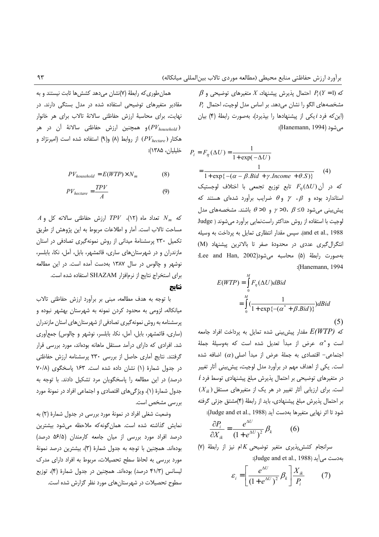$\beta$  که  $P_i(Y=1)$  احتمال پذیرش پیشنهاد،  $X$  متغیرهای توضیحی و  $P_i$  مشخصههای الگو را نشان میدهد. بر اساس مدل لوجیت، احتمال این که فرد *i ی*کی از پیشنهادها را بیذیرد)، بهصورت رابطهٔ (۴) بیان می شود (Hanemann, 1994):

$$
P_i = F_{\eta}(\Delta U) = \frac{1}{1 + \exp(-\Delta U)}
$$
  
= 
$$
\frac{1}{1 + \exp\{-(\alpha - \beta. \text{Bid } + \gamma. \text{ Income } + \theta. S)\}}
$$
(4)  
Equation 1. (4)

که در آن $F_\eta(\Delta U)$  تابع توزیع تجمعی با استاندارد بوده و  $\beta$ ،  $\gamma$  و  $\theta$  ضرایب برآورد شدهای هستند که پیش بینی می شود 0≥ 6 ، 0< 6 و 0<  $\theta$  باشند. مشخصههای مدا لوجيت با استفاده از روش حداكثر راستنمايي برآورد مي شوند ( Judge and et al., 1988). سپس مقدار انتظاری تمایل به پرداخت به وسیله انتگرال گیری عددی در محدودهٔ صفر تا بالاترین پیشنهاد (M) بهصورت رابطةً (۵) محاسبه مي شود(Lee and Han, 2002 :(Hanemann, 1994

$$
E(WTP) = \int_{0}^{M} F_{\eta}(\Delta U) dBid
$$
  
= 
$$
\int_{0}^{M} \left( \frac{1}{1 + \exp\{-(\alpha^* + \beta.Bid)\}} \right) dBid
$$
 (5)

که  $E(WTP)$  مقدار پیش بینی شده تمایل به پرداخت افراد جامعه است و $\alpha^*$  عرض از مبدأ تعديل شده است كه بهوسيلهٔ جملهٔ اجتماعی- اقتصادی به جملهٔ عرض از مبدأ اصلی (a) اضافه شده است. یکی از اهداف مهم در برآورد مدل لوجیت، پیش بینی آثار تغییر  $i$  در متغیرهای توضیحی بر احتمال پذیرش مبلغ پیشنهادی توسط فرد  $(X_{ik})$  است. برای ارزیابی آثار تغییر در هر یک از متغیرهای مستقل بر احتمال پذیرش مبلغ پیشنهادی، باید از رابطهٔ (۴)مشتق جزئی گرفته شود تا اثر نهايي متغيرها بهدست آيد (Judge and et al., 1988):

$$
\frac{\partial P_i}{\partial X_{ik}} = \frac{e^{\Delta U}}{(1 + e^{\Delta U})^2} \beta_k \qquad (6)
$$

w سرانجام کشش پذیری متغیر توضیحی  $K$ ام نیز از رابطهٔ به دست می آید (Judge and et al., 1988):

$$
\varepsilon_i = \left[ \frac{e^{\Delta U}}{\left(1 + e^{\Delta U}\right)^2} \beta_k \right] \frac{X_{ik}}{P_i} \tag{7}
$$

همان طوری که رابطهٔ (۷)نشان می دهد کشش ها ثابت نیستند و به مقادیر متغیرهای توضیحی استفاده شده در مدل بستگی دارند. در .<br>نهایت، برای محاسبهٔ ارزش حفاظتی سالانهٔ تالاب برای هر خانوار و همچنین ارزش حفاظتی سالانهٔ آن در هر $(PV_{\textit{household}})$ هكتار (P $V_{hectare}$ ) از روابط (A) و(۹) استفاده شده است (امیرنژاد و خليليان، ١٣٨۵):

$$
PV_{household} = E(WTP) \times N_m \tag{8}
$$

$$
PV_{hectare} = \frac{TPV}{A} \tag{9}
$$

 $A$  که  $N_m$  تعداد ماه (١٢)، TPV ارزش حفاظتی سالانه کل و مساحت تالاب است. آمار و اطلاعات مربوط به این پژوهش از طریق تکمیل ۲۳۰ پرسشنامهٔ میدانی از روش نمونهگیری تصادفی در استان مازندران و در شهرستان های ساری، قائمشهر، بابل، آمل، نکا، بابلسر، نوشهر و چالوس در سال ۱۳۸۷ بهدست آمده است. در این مطالعه برای استخراج نتایج از نرمافزار SHAZAM استفاده شده است. نتايج

با توجه به هدف مطالعه، مبنى بر برأورد ارزش حفاظتى تالاب میانکاله، لزومی به محدود کردن نمونه به شهرستان بهشهر نبوده و پرسشنامه به روش نمونه گیری تصادفی از شهرستان های استان مازندران (ساری، قائمشهر، بابل، آمل، نکا، بابلسر، نوشهر و چالوس) جمعآوری شد. افرادی که دارای درآمد مستقل ماهانه بودهاند، مورد بررسی قرار گرفتند. نتایج أماری حاصل از بررسی ۲۳۰ پرسشنامه ارزش حفاظتی در جدول شمارة (١) نشان داده شده است. ١۶٣ پاسخگوى (٧٠/٨ درصد) در این مطالعه را پاسخگویان مرد تشکیل دادند. با توجه به جدول شمارهٔ (۱)، ویژگیهای اقتصادی و اجتماعی افراد در نمونهٔ مورد بررسی مشخص است.

وضعیت شغلی افراد در نمونهٔ مورد بررسی در جدول شمارهٔ (۲) به نمایش گذاشته شده است. همان گونه که ملاحظه می شود بیشترین درصد افراد مورد بررسی از میان جامعه کارمندان (۵۶/۵ درصد) بودهاند. همچنین با توجه به جدول شمارهٔ (۳)، بیشترین درصد نمونهٔ مورد بررسی به لحاظ سطح تحصیلات، مربوط به افراد دارای مدرک لیسانس (۴۱/۳ درصد) بودهاند. همچنین در جدول شمارهٔ (۴)، توزیع سطوح تحصیلات در شهرستان های مورد نظر گزارش شده است.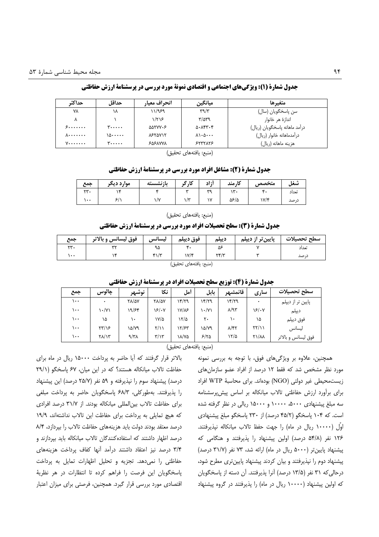| حداكث             | حداقل    | انحراف معيار   | ميانگين                              | متغيرها                       |
|-------------------|----------|----------------|--------------------------------------|-------------------------------|
| ۷۸                | ۱۸       | ۱۱/۹۶۹         | $\tau$ 9/ $\tau$                     | ِسن پاسخگويان (سال)           |
| ⋏                 |          | ۱/۲۱۶          | $\frac{8}{3}$                        | اندازۂ هر خانوار              |
| <b>8.</b>         | <b>۳</b> | ۵۵۲۷۷۰۶        | $\Delta$ . $\Lambda$ ۴۳.۴            | درآمد ماهانه پاسخگویان (ریال) |
| <b>A</b>          | ۱۵۰۰۰۰۰  | <b>NETAVIT</b> | $\lambda\backslash\cdot\Delta\cdots$ | در آمدماهانه خانوار (ريال)    |
| $V \cdots \cdots$ | ۳.       | ۶۵۶λννλ        | 55577777                             | هزينه ماهانه (ريال)           |

## جدول شمارة (1): ويژگىهاى اجتماعى و اقتصادى نمونة مورد بررسى در پرسشنامة ارزش حفاظتى

(منبع: يافتههاى تحقيق)

#### جدول شمارة (2): مشاغل افراد مورد بررسي در يرسشنامة ارزش حفاظتي

| جمع                 | موارد ديكر | ىا:نە<br>نشسته | کا. گ<br><b>.</b> | أ;اد         | کا, مند | متخصص | سعا   |
|---------------------|------------|----------------|-------------------|--------------|---------|-------|-------|
|                     |            |                | 1.11              | $\mathbf{u}$ | سہ      |       | تعداد |
| $\bullet$ $\bullet$ |            | $\sqrt{ }$     | سر<br>,,          | $\cdots$     | ۵۶/۵    | いパ    | در صد |

(منبع: يافتههاى تحقيق)

#### جدول شمارة (3): سطح تحصیلات افراد مورد بررسی در پرسشنامة ارزش حفاظتی

| جمع                    | فوق لیسانس و بالاتر | لىسانس | فوق ديپلم | ديپلم                                | پایین تر از دیپلم | سطح تحصيلات |  |
|------------------------|---------------------|--------|-----------|--------------------------------------|-------------------|-------------|--|
| rr.                    | ويولدوا             | ۹۵     |           | ۵۶                                   |                   | تعداد       |  |
| ۱۰۰                    |                     | $f\$   | ۱۷/۴      | $\mathbf{Y} \mathbf{Y} / \mathbf{Y}$ |                   | د، صد       |  |
| (منبع: يافتههاي تحقيق) |                     |        |           |                                      |                   |             |  |

|          | --    | رر س                 | <b>J.J-</b>             |       |       | . ۱۳۷۳ - ۱۳۷۳ م. ۱۳۷۳ - ۱۳۷۳ - ۱۳۷۳ - ۱۳۷۳ - ۱۳۷۳ - ۱۳۷۳ - ۱۳۷۳ - ۱۳۷۳ - ۱۳۷۳ - ۱۳ |                      |                     |
|----------|-------|----------------------|-------------------------|-------|-------|------------------------------------------------------------------------------------|----------------------|---------------------|
| جمع      | چالوس | نوشهر                | نكا                     | أمل   | بابل  | ا قائمشىم                                                                          | ساری                 | سطح تحصىلات         |
| ۱۰۰      | ٠     | <b>TA/AV</b>         | <b>TA/QV</b>            | ۱۴/۲۹ | ۱۴/۲۹ | ۱۴/۲۹                                                                              | ٠                    | پایین تر از دیپلم   |
| ۱۰۰      | ۱۰/۷۱ | ۱۹/۶۴                | 18/07                   | ۱۷/۸۶ | ۱۰/۷۱ | $\lambda$ /٩٣                                                                      | ۱۶/۰۷                | ديپلم               |
| ۱۰۰      | ۱۵    | $\ddot{\phantom{1}}$ | ۱۷/۵                    | ۱۲/۵  | ٢٠    | ۱۰                                                                                 | ۱۵                   | فوق ديپلم           |
| ۱۰۰      | ۲۳/۱۶ | ۱۵/۷۹                | $\frac{1}{2}$           | ۱۲/۶۳ | ۱۵/۷۹ | $\lambda$ /۴۲                                                                      | $\frac{1}{\sqrt{2}}$ | ليسانس              |
| $\cdots$ | ۲۸/۱۳ | $\gamma/\gamma$      | $\mathbf{r}/\mathbf{v}$ | ۱۸/۷۵ | 5/70  | ۱۲/۵                                                                               | <b>Y\/AA</b>         | فوق ليسانس و بالاتر |

حده الشمارة (4): تمزيع سطح تحصيلات افراد در بريسشنامة ارزش حفاظتي

(منبع: يافتههاى تحقيق)

همچنین، علاوه بر ویژگیهای فوق، با توجه به بررسی نمونه مورد نظر مشخص شد که فقط ١٢ درصد از افراد عضو سازمان های زيست،محيطي غير دولتي (NGO) بودهاند. براي محاسبة WTP افراد برای برأورد ارزش حفاظتی تالاب میانکاله بر اساس پیشپرسشنامه سه مبلغ پیشنهادی ۵۰۰۰، ۱۰۰۰۰ و ۱۵۰۰۰ ریالی در نظر گرفته شده است. که ۱۰۴ پاسخگو (۴۵/۲ درصد) از ۲۳۰ پاسخگو مبلغ پیشنهادی اوَل (۱۰۰۰۰ ریال در ماه) را جهت حفظ تالاب میانکاله نپذیرفتند. ۱۲۶ نفر (۵۴/۸ درصد) اولین پیشنهاد را پذیرفتند و هنگامی که پیشنهاد پایینتر (۵۰۰۰ ریال در ماه) ارائه شد، ۷۳ نفر (۳۱/۷ درصد) پیشنهاد دوم را نپذیرفتند و بیان کردند پیشنهاد پایینتری مطرح شود، درحالی که ۳۱ نفر (۱۳/۵ درصد) آنرا پذیرفتند. آن دسته از پاسخگویان که اولین پیشنهاد (۱۰۰۰۰ ریال در ماه) را پذیرفتند در گروه پیشنهاد

بالاتر قرار گرفتند که آیا حاضر به پرداخت ۱۵۰۰۰ ریال در ماه برای حفاظت تالاب میانکاله هستند؟ که در این میان، ۶۷ پاسخگو (۲۹/۱ درصد) پیشنهاد سوم را نپذیرفته و ۵۹ نفر (۲۵/۷ درصد) این پیشنهاد را پذیرفتند. بهطورکلی، ۶۸/۳ پاسخگویان حاضر به پرداخت مبلغی برای حفاظت تالاب بین المللی میانکاله بودند. از ۳۱/۷ درصد افرادی که هیچ تمایلی به پرداخت برای حفاظت این تالاب نداشتهاند، ١٩/٩ درصد معتقد بودند دولت بايد هزينههاى حفاظت تالاب را بپردازد، ٨/۴ درصد اظهار داشتند که استفادهکنندگان تالاب میانکاله باید بپردازند و ۳/۴ درصد نیز اعتقاد داشتند درآمد آنها کفاف پرداخت هزینههای حفاظتی را نمی دهد. تجزیه و تحلیل اظهارات تمایل به پرداخت پاسخگویان این فرصت را فراهم کرده تا انتظارات در هر نظریهٔ اقتصادی مورد بررسی قرار گیرد. همچنین، فرصتی برای میزان اعتبار ۹۴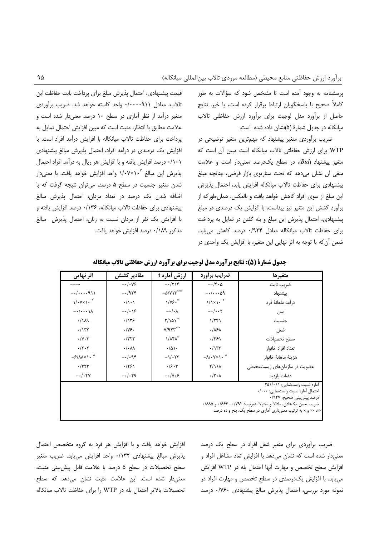یرسشنامه به وجود آمده است تا مشخص شود که سؤالات به طور كاملاً صحيح با پاسخگويان ارتباط برقرار كرده است، يا خير. نتايج حاصل از برآورد مدل لوجیت برای برآورد ارزش حفاظتی تالاب میانکاله در جدول شمارهٔ (۵)نشان داده شده است.

ضریب برآوردی متغیر پیشنهاد که مهمترین متغیر توضیحی در WTP برای ارزش حفاظتی تالاب میانکاله است مبین آن است که متغیر پیشنهاد (Bid)، در سطح یک درصد معنی دار است و علامت منفی آن نشان می دهد که تحت سناریوی بازار فرضی، چنانچه مبلغ ييشنهادي براي حفاظت تالاب ميانكاله افزايش يابد، احتمال يذيرش این مبلغ از سوی افراد کاهش خواهد یافت و بالعکس. همان طورکه از برآورد کشش این متغیر نیز پیداست، با افزایش یک درصدی در مبلغ پیشنهادی، احتمال پذیرش این مبلغ و بله گفتن در تمایل به پرداخت برای حفاظت تالاب میانکاله معادل ۰/۹۲۴ درصد کاهش می یابد. ضمن آن که با توجه به اثر نهایی این متغیر، با افزایش یک واحدی در

قیمت پیشنهادی، احتمال پذیرش مبلغ برای پرداخت بابت حفاظت این تالاب، معادل ۰/۰۰۰۰۹۱۱ واحد كاسته خواهد شد. ضريب برآوردى متغیر درآمد از نظر آماری در سطح ۱۰ درصد معنی دار شده است و علامت مطابق با انتظار، مثبت است كه مبين افزايش احتمال تمايل به يرداخت براي حفاظت تالاب ميانكاله با افزايش درآمد افراد است. با افزایش یک درصدی در درآمد افراد، احتمال پذیرش مبالغ پیشنهادی ۰/۱۰۱ درصد افزایش یافته و با افزایش هر ریال به درآمد افراد احتمال یذیرش این مبالغ ۱/۰۷×۱/۰ واحد افزایش خواهد یافت. با معنی دار شدن متغیر جنسیت در سطح ۵ درصد، می توان نتیجه گرفت که با اضافه شدن یک درصد در تعداد مردان، احتمال پذیرش مبالغ پیشنهادی برای حفاظت تالاب میانکاله، ۱۳۶/۰ درصد افزایش یافته و با افزایش یک نفر از مردان نسبت به زنان، احتمال پذیرش مبالغ مذكور ١٨٩/٠ درصد افزايش خواهد يافت.

| <b>اثر نہایی</b>                                                                                                                                                                                                                      | مقادیر کشش                  | ارزش أماره t                             | ضرایب براورد                                                             | متغيرها                      |  |  |
|---------------------------------------------------------------------------------------------------------------------------------------------------------------------------------------------------------------------------------------|-----------------------------|------------------------------------------|--------------------------------------------------------------------------|------------------------------|--|--|
|                                                                                                                                                                                                                                       | $-\cdot/\cdot\sqrt{2}$      | $-\cdot/7$                               | $-\cdot/\mathfrak{r}\cdot\Delta$                                         | ضريب ثابت                    |  |  |
| $-1$ 911                                                                                                                                                                                                                              | $-\cdot$ /954               | $-\Delta/Y$ \ $V^{\times \times \times}$ | $-\cdot/\cdot\cdot\Delta$ ۹                                              | پیشنهاد                      |  |  |
| $\sqrt{\cdot \gamma} \times \sqrt{\cdot}^{\gamma}$                                                                                                                                                                                    | $\cdot/\wedge\cdot\wedge$   | $1/\gamma$ ۶.                            | $1/x1 \cdot y^{-1}$                                                      | درآمد ماهانهٔ فرد            |  |  |
| $-\cdot/\cdot\cdot\cdot\wedge$                                                                                                                                                                                                        | $-\cdot/\cdot$ \&           | $-\cdot/\cdot \lambda$                   | $-\cdot/\cdot\cdot$ ۲                                                    | سن                           |  |  |
| .114                                                                                                                                                                                                                                  | $\cdot$ /۱۳۶                | $Y/\lambda\Delta Y^{\times\mathbf{X}}$   | $1/\tau$ ۴۱                                                              | جنسيت                        |  |  |
| $\cdot$ / $\Upsilon$                                                                                                                                                                                                                  | $\cdot/\gamma$ ۶.           | Y/9.50                                   | .18A                                                                     | شغل                          |  |  |
| $\cdot/\gamma \cdot \tau$                                                                                                                                                                                                             | $\cdot$ /۳۲۲                | $1/\lambda f \lambda^x$                  | .751                                                                     | سطح تحصيلات                  |  |  |
| $\cdot/\tau \cdot \tau$                                                                                                                                                                                                               | $\cdot/\cdot\lambda\lambda$ | $\cdot/\Delta$                           | $\cdot/\gamma\tau\tau$                                                   | تعداد افراد خانوار           |  |  |
| $-\frac{\epsilon}{\sqrt{2}}$                                                                                                                                                                                                          | $-\cdot/\cdot$ 94           | $-\frac{1}{\sqrt{2}}$                    | $-\lambda/\cdot Y \times \lambda \cdot$ <sup>-<math>\lambda</math></sup> | هزينة ماهانة خانوار          |  |  |
| $\cdot$ /٣٢٣                                                                                                                                                                                                                          | .751                        | $\cdot$ /۶.۳                             | Y/Y                                                                      | عضویت در سازمانهای زیستمحیطی |  |  |
| $-\cdot/\cdot$ ۴۷                                                                                                                                                                                                                     | $-\cdot/\cdot79$            | $-\cdot/\Delta \cdot 5$                  | $\cdot$ /۳ $\cdot$ ۸                                                     | دفعات بازديد                 |  |  |
| آماره نسبت راستنمایی: ۲۵۱/۰۱۱<br>احتمال آماره نسبت راستنمايى: ٠/٠٠٠<br>درصد پیش بینی صحیح: ۹۴۷/۰<br>ضريب تعيين مك فادن، مادالا و استرلا بهترتيب: ٠/٧٩٢ ، ٠/۶۶۴ و ٨٨٨٥.<br>××، ×× و × به ترتیب معنیداری آماری در سطح یک، پنج و ده درصد |                             |                                          |                                                                          |                              |  |  |

جدول شمارة (5): نتايج برآورد مدل لوجيت براي برآورد ارزش حفاظتي تالاب ميانكاله

افزایش خواهد یافت و با افزایش هر فرد به گروه متخصص احتمال پذیرش مبالغ پیشنهادی ۰/۱۳۲ واحد افزایش می یابد. ضریب متغیر سطح تحصیلات در سطح ۵ درصد با علامت قابل پیش بینی مثبت، معنی دار شده است. این علامت مثبت نشان می دهد که سطح تحصیلات بالاتر احتمال بله در WTP را برای حفاظت تالاب میانکاله ضریب برآوردی برای متغیر شغل افراد در سطح یک درصد معنیدار شده است که نشان میدهد با افزایش تعاد مشاغل افراد و افزايش سطح تخصص و مهارت آنها احتمال بله در WTP افزايش می یابد. با افزایش یک درصدی در سطح تخصص و مهارت افراد در نمونه مورد بررسی، احتمال پذیرش مبالغ پیشنهادی ۰/۷۶۰ درصد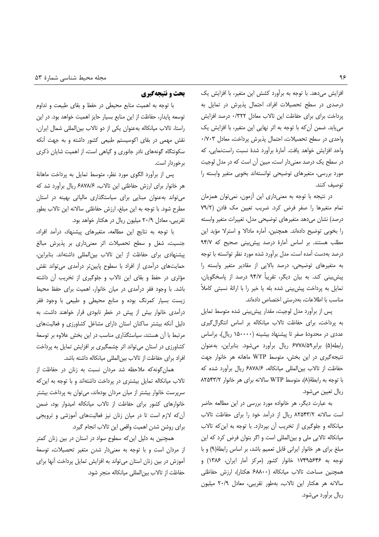افزایش میدهد. با توجه به برآورد کشش این متغیر، با افزایش یک درصدی در سطح تحصیلات افراد، احتمال پذیرش در تمایل به پرداخت برای برای حفاظت این تالاب معادل ۰/۳۲۲ درصد افزایش می یابد. ضمن أن که با توجه به اثر نهایی این متغیر، با افزایش یک واحدی در سطح تحصیلات، احتمال پذیرش پرداخت، معادل ۰/۷۰۳ واحد افزایش خواهد یافت. آمارهٔ برآورد شدهٔ نسبت راستنمایی، که در سطح یک درصد معنیدار است، مبین آن است که در مدل لوجیت مورد بررسی، متغیرهای توضیحی توانستهاند بخوبی متغیر وابسته را توصيف كنند.

در نتیجه با توجه به معنیداری این آزمون، نمیتوان همزمان تمام متغیرها را صفر فرض کرد. ضریب تعیین مک فادن (۷۹/۲ درصد) نشان مىدهد متغيرهاى توضيحى مدل، تغييرات متغير وابسته را بخوبی توضیح دادهاند. همچنین، آماره مادالا و استرلا مؤید این مطلب هستند. بر اساس آمارهٔ درصد پیش بینی صحیح که ۹۴/۷ درصد بهدست آمده است، مدل برآورد شده مورد نظر توانسته با توجه به متغیرهای توضیحی، درصد بالایی از مقادیر متغیر وابسته را پیش بینی کند. به بیان دیگر، تقریباً ۹۴/۷ درصد از پاسخگویان، تمایل به پرداخت پیش بینی شده بله یا خیر را با ارائهٔ نسبتی کاملاً مناسب با اطلاعات، بهدرستی اختصاص دادهاند.

پس از برآورد مدل لوجیت، مقدار پیش بینی شده متوسط تمایل به پرداخت، برای حفاظت تالاب میانکاله بر اساس انتگرال گیری عددی در محدودهٔ صفر تا پیشنهاد بیشینه (۱۵۰۰۰۰ ریال)، براساس رابطه(۵) برابر ۶۷۷۸/۵۹ ریال برآورد میشود. بنابراین، به عنوان نتیجه گیری در این بخش، متوسط WTP ماهانه هر خانوار جهت حفاظت از تالاب بین|لمللی میانکاله، ۶۸۷۸/۶ ریال برآورد شده که با توجه به رابطة (٨)، متوسط WTP سالانه براى هر خانوار ٨٢٥۴٣/٢ ريال تعيين مي شود.

به عبارت دیگر، هر خانواده مورد بررسی در این مطالعه حاضر است سالانه ٨٢٥۴٣/٢ ريال از درآمد خود را براي حفاظت تالاب میانکاله و جلوگیری از تخریب أن بپردازد. با توجه به این که تالاب میانکاله تالابی ملی و بینالمللی است و اگر بتوان فرض کرد که این مبلغ برای هر خانوار ایرانی قابل تعمیم باشد، بر اساس رابطة (٩) و با توجه به ۱۷۴۹۵۶۴۶ خانوار کشور (مرکز آمار ایران، ۱۳۸۶) و همچنین مساحت تالاب میانکاله (۶۸۸۰۰ هکتار)، ارزش حفاظتی سالانه هر هكتار اين تالاب، بهطور تقريبي، معادل ٢٠/٩ ميليون ریال برآورد مے شود.

### بحث و نتیجهگیری

با توجه به اهمیت منابع محیطی در حفظ و بقای طبیعت و تداوم توسعه پایدار، حفاظت از این منابع بسیار حایز اهمیت خواهد بود. در این راستا، تالاب میانکاله بهعنوان یکی از دو تالاب بین المللی شمال ایران، نقش مهمی در بقای اکوسیستم طبیعی کشور داشته و به جهت أنکه سکونتگاه گونههای نادر جانوری و گیاهی است، از اهمیت شایان ذکری برخوردار است.

پس از برآورد الگوی مورد نظر، متوسط تمایل به پرداخت ماهانهٔ هر خانوار برای ارزش حفاظتی این تالاب، ۶۸۷۸/۶ ریال برآورد شد که می تواند به عنوان مبنایی برای سیاستگذاری مالیاتی بهینه در استان مطرح شود. با توجه به این مبلغ، ارزش حفاظتی سالانه این تالاب بطور تقریبی، معادل ٢٠/٩ میلیون ریال در هکتار خواهد بود.

با توجه به نتايج اين مطالعه، متغيرهاى پيشنهاد، درآمد افراد، جنسیت، شغل و سطح تحصیلات اثر معنیداری بر پذیرش مبالغ پیشنهادی برای حفاظت از این تالاب بین المللی داشتهاند. بنابراین، حمایتهای درآمدی از افراد با سطوح پایینتر درآمدی میتواند نقش مؤثری در حفظ و بقای این تالاب و جلوگیری از تخریب أن داشته باشد. با وجود فقر درآمدی در میان خانوار، اهمیت برای حفظ محیط زیست بسیار کمرنگ بوده و منابع محیطی و طبیعی با وجود فقر درآمدی خانوار بیش از پیش در خطر نابودی قرار خواهند داشت. به دلیل آنکه بیشتر ساکنان استان دارای مشاغل کشاورزی و فعالیتهای مرتبط با آن هستند، سیاستگذاری مناسب در این بخش علاوه بر توسعهٔ کشاورزی در استان میتواند اثر چشمگیری بر افزایش تمایل به پرداخت افراد برای حفاظت از تالاب بین|لمللی میانکاله داشته باشد.

همان گونه که ملاحظه شد مردان نسبت به زنان در حفاظت از تالاب میانکاله تمایل بیشتری در پرداخت داشتهاند و با توجه به این که سرپرست خانوار بیشتر از میان مردان بودهاند، میتوان به پرداخت بیشتر خانوارهای کشور برای حفاظت از تالاب میانکاله امیدوار بود، ضمن آن که لازم است تا در میان زنان نیز فعالیتهای آموزشی و ترویجی براي روشن شدن اهميت واقعي اين تالاب انجام گيرد.

همچنین به دلیل این که سطوح سواد در استان در بین زنان کمتر از مردان است و با توجه به معنى دار شدن متغير تحصيلات، توسعهٔ آموزش در بین زنان استان میتواند به افزایش تمایل پرداخت آنها برای حفاظت از تالاب بين|لمللي ميانكاله منجر شود.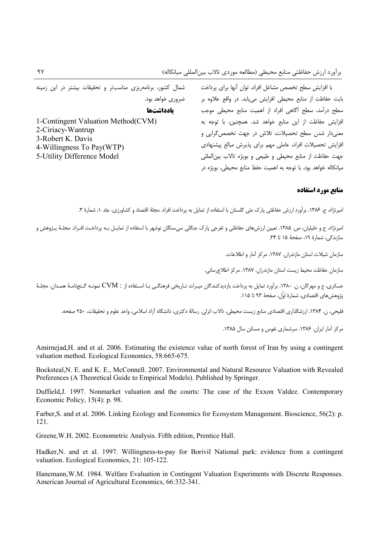با افزایش سطح تخصص مشاغل افراد، توان آنها برای پرداخت شمال کشور، برنامهریزی مناسبتر و تحقیقات بیشتر در این زمینه بابت حفاظت از منابع محیطی افزایش مییابد. در واقع علاوه بر سطح درآمد، سطح أگاهي افراد از اهميت منابع محيطي موجب افزایش حفاظت از این منابع خواهد شد. همچنین، با توجه به معنیدار شدن سطح تحصیلات، تلاش در جهت تخصص گرایی و افزایش تحصیلات افراد، عاملی مهم برای پذیرش مبالغ پیشنهادی جهت حفاظت از منابع محيطى وطبيعى وبويژه تالاب بين المللى میانکاله خواهد بود. با توجه به اهمیت حفظ منابع محیطی، بویژه در

### مناتع مورد استفاده

امیرنژاد، ح. ۱۳۸۶. برآورد ارزش حفاظتی پارک ملی گلستان با استفاده از تمایل به پرداخت افراد. مجلهٔ اقتصاد و کشاورزی، جلد ۱، شمارهٔ ۳.

امیرنژاد، ح و خلیلیان، ص. ۱۳۸۵. تعیین ارزشهای حفاظتی و تفرجی پارک جنگلی سیسنگان نوشهر با استفاده از تمایـل بـه پرداخـت افـراد. مجلـهٔ پـژوهش و سازندگی، شمارهٔ ۱۹، صفحهٔ ۱۵ تا ۲۴.

ضروری خواهد بود.

يادداشتها

سازمان شیلات استان مازندران. ۱۳۸۷. مرکز آمار و اطلاعات.

سازمان حفاظت محيط زيست استان مازندران. ١٣٨٧. مركز اطلاع ساني.

عسکری، ع و مهرگان، ن. ۱۳۸۰. برآورد تمایل به پرداخت بازدیدکنندگان میـراث تـاریخی فرهنگـی بـا اسـتفاده از : CVM نمونـه گـنجنامـهٔ همـدان. مجلـهٔ يژوهش هاي اقتصادي، شمارهٔ اوًل، صفحهٔ ۹۳ تا ۱۱۵.

فليجي، ن. ١٣٨۴. ارزشگذاري اقتصادي منابع زيست محيطي، تالاب انزلي. رسالۀ دكتري، دانشگاه آزاد اسلامي، واحد علوم و تحقيقات، ٢٥٠ صفحه.

مرکز آمار ایران. ۱۳۸۶. سرشماری نفوس و مسکن سال ۱۳۸۵.

Amirnejad, H. and et al. 2006. Estimating the existence value of north forest of Iran by using a contingent valuation method. Ecological Economics, 58:665-675.

Bocksteal, N. E. and K. E., McConnell, 2007. Environmental and Natural Resource Valuation with Revealed Preferences (A Theoretical Guide to Empirical Models). Published by Springer.

Duffield, J. 1997. Nonmarket valuation and the courts: The case of the Exxon Valdez. Contemporary Economic Policy,  $15(4)$ : p. 98.

Farber, S. and et al. 2006. Linking Ecology and Economics for Ecosystem Management. Bioscience, 56(2): p. 121.

Greene, W.H. 2002. Econometric Analysis. Fifth edition, Prentice Hall.

Hadker, N. and et al. 1997. Willingness-to-pay for Borivil National park: evidence from a contingent valuation. Ecological Economics, 21: 105-122.

Hanemann, W.M. 1984. Welfare Evaluation in Contingent Valuation Experiments with Discrete Responses. American Journal of Agricultural Economics, 66:332-341.

1-Contingent Valuation Method(CVM)

2-Ciriacy-Wantrup

3-Robert K. Davis

4-Willingness To Pay(WTP) 5-Utility Difference Model